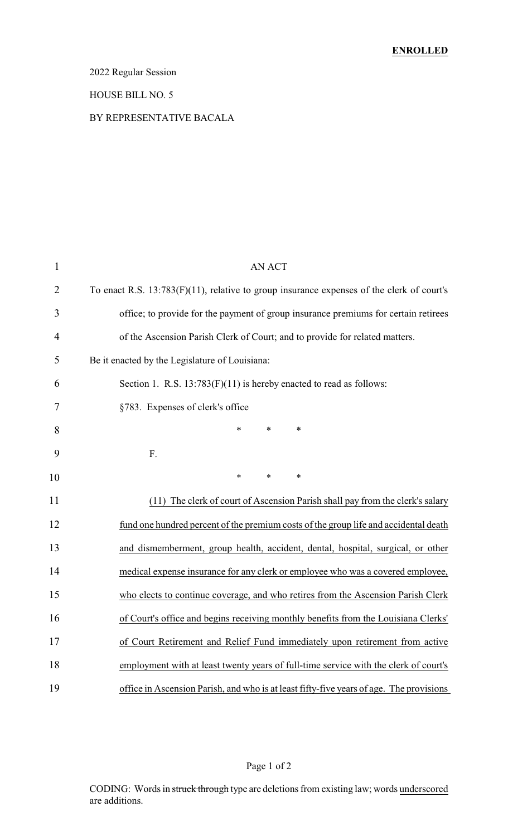2022 Regular Session

#### HOUSE BILL NO. 5

#### BY REPRESENTATIVE BACALA

| 1              | <b>AN ACT</b>                                                                             |
|----------------|-------------------------------------------------------------------------------------------|
| $\overline{2}$ | To enact R.S. 13:783(F)(11), relative to group insurance expenses of the clerk of court's |
| 3              | office; to provide for the payment of group insurance premiums for certain retirees       |
| 4              | of the Ascension Parish Clerk of Court; and to provide for related matters.               |
| 5              | Be it enacted by the Legislature of Louisiana:                                            |
| 6              | Section 1. R.S. $13:783(F)(11)$ is hereby enacted to read as follows:                     |
| 7              | §783. Expenses of clerk's office                                                          |
| 8              | ∗<br>*<br>∗                                                                               |
| 9              | F.                                                                                        |
| 10             | $\ast$<br>$\ast$<br>$\ast$                                                                |
| 11             | (11) The clerk of court of Ascension Parish shall pay from the clerk's salary             |
| 12             | fund one hundred percent of the premium costs of the group life and accidental death      |
| 13             | and dismemberment, group health, accident, dental, hospital, surgical, or other           |
| 14             | medical expense insurance for any clerk or employee who was a covered employee,           |
| 15             | who elects to continue coverage, and who retires from the Ascension Parish Clerk          |
| 16             | of Court's office and begins receiving monthly benefits from the Louisiana Clerks'        |
| 17             | of Court Retirement and Relief Fund immediately upon retirement from active               |
| 18             | employment with at least twenty years of full-time service with the clerk of court's      |
| 19             | office in Ascension Parish, and who is at least fifty-five years of age. The provisions   |